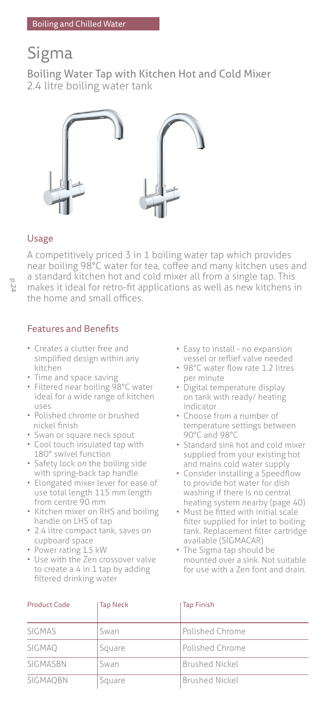# Sigma

Boiling Water Tap with Kitchen Hot and Cold Mixer 2.4 litre boiling water tank



# Usage

A competitively priced 3 in 1 boiling water tap which provides near boiling 98°C water for tea, coffee and many kitchen uses and a standard kitchen hot and cold mixer all from a single tap. This makes it ideal for retro-fit applications as well as new kitchens in the home and small offices.

# Features and Benefits

- Creates a clutter free and simplified design within any kitchen
- Time and space saving
- Filtered near boiling 98°C water ideal for a wide range of kitchen uses
- Polished chrome or brushed nickel finish
- Swan or square neck spout
- Cool touch insulated tap with 180° swivel function
- Safety lock on the boiling side with spring-back tap handle
- Elongated mixer lever for ease of use total length 115 mm length from centre 90 mm
- Kitchen mixer on RHS and boiling handle on LHS of tap
- 2.4 litre compact tank, saves on cupboard space
- Power rating 1.5 kW
- Use with the Zen crossover valve to create a 4 in 1 tap by adding filtered drinking water
- Easy to install no expansion vessel or reflief valve needed
- 98°C water flow rate 1.2 litres per minute
- Digital temperature display on tank with ready/ heating indicator
- Choose from a number of temperature settings between 90°C and 98°C
- Standard sink hot and cold mixer supplied from your existing hot and mains cold water supply
- Consider installing a Speedflow to provide hot water for dish washing if there is no central heating system nearby (page 40)
- Must be fitted with initial scale filter supplied for inlet to boiling tank. Replacement filter cartridge available (SIGMACAR)
- The Sigma tap should be mounted over a sink. Not suitable for use with a Zen font and drain.

| <b>Product Code</b> | <b>Tap Neck</b> | Tap Finish             |  |
|---------------------|-----------------|------------------------|--|
| SIGMAS              | Swan            | Polished Chrome        |  |
| SIGMAO              | Square          | <b>Polished Chrome</b> |  |
| SIGMASBN            | Swan            | <b>Brushed Nickel</b>  |  |
| SIGMAOBN            | Square          | <b>Brushed Nickel</b>  |  |